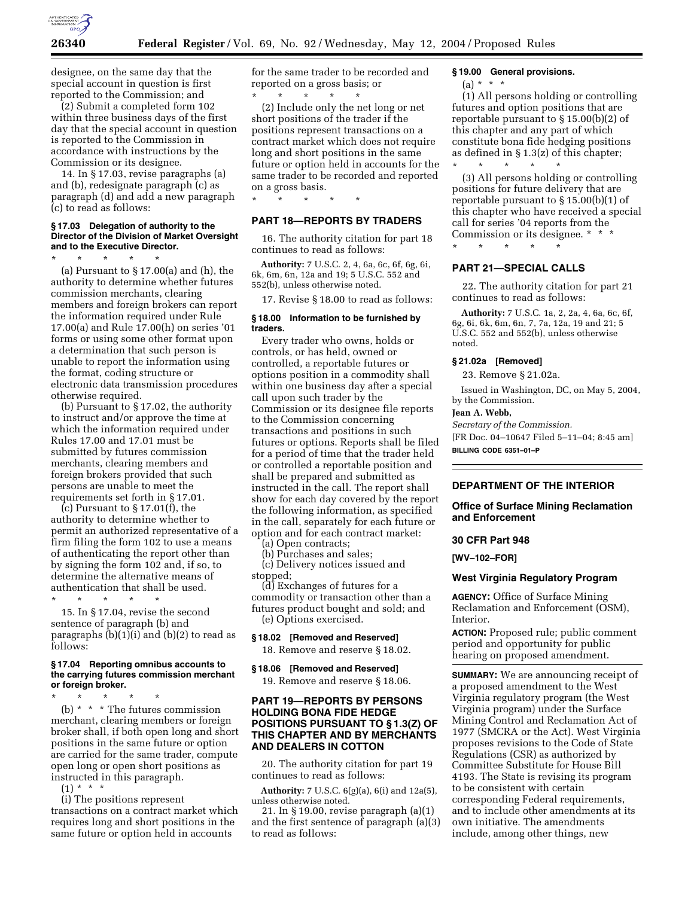

designee, on the same day that the special account in question is first reported to the Commission; and

(2) Submit a completed form 102 within three business days of the first day that the special account in question is reported to the Commission in accordance with instructions by the Commission or its designee.

14. In § 17.03, revise paragraphs (a) and (b), redesignate paragraph (c) as paragraph (d) and add a new paragraph (c) to read as follows:

#### **§ 17.03 Delegation of authority to the Director of the Division of Market Oversight and to the Executive Director.**

\* \* \* \* \*

(a) Pursuant to  $\S 17.00(a)$  and (h), the authority to determine whether futures commission merchants, clearing members and foreign brokers can report the information required under Rule 17.00(a) and Rule 17.00(h) on series '01 forms or using some other format upon a determination that such person is unable to report the information using the format, coding structure or electronic data transmission procedures otherwise required.

(b) Pursuant to § 17.02, the authority to instruct and/or approve the time at which the information required under Rules 17.00 and 17.01 must be submitted by futures commission merchants, clearing members and foreign brokers provided that such persons are unable to meet the requirements set forth in § 17.01.

(c) Pursuant to § 17.01(f), the authority to determine whether to permit an authorized representative of a firm filing the form 102 to use a means of authenticating the report other than by signing the form 102 and, if so, to determine the alternative means of authentication that shall be used.

\* \* \* \* \* 15. In § 17.04, revise the second sentence of paragraph (b) and paragraphs (b)(1)(i) and (b)(2) to read as follows:

#### **§ 17.04 Reporting omnibus accounts to the carrying futures commission merchant or foreign broker.**

\* \* \* \* \*

(b) \* \* \* The futures commission merchant, clearing members or foreign broker shall, if both open long and short positions in the same future or option are carried for the same trader, compute open long or open short positions as instructed in this paragraph.

 $(1) * * * *$ 

(i) The positions represent transactions on a contract market which requires long and short positions in the same future or option held in accounts

for the same trader to be recorded and reported on a gross basis; or

\* \* \* \* \* (2) Include only the net long or net short positions of the trader if the positions represent transactions on a contract market which does not require long and short positions in the same future or option held in accounts for the same trader to be recorded and reported on a gross basis.

# \* \* \* \* \*

## **PART 18—REPORTS BY TRADERS**  16. The authority citation for part 18

continues to read as follows:

**Authority:** 7 U.S.C. 2, 4, 6a, 6c, 6f, 6g, 6i, 6k, 6m, 6n, 12a and 19; 5 U.S.C. 552 and 552(b), unless otherwise noted.

17. Revise § 18.00 to read as follows:

## **§ 18.00 Information to be furnished by traders.**

Every trader who owns, holds or controls, or has held, owned or controlled, a reportable futures or options position in a commodity shall within one business day after a special call upon such trader by the Commission or its designee file reports to the Commission concerning transactions and positions in such futures or options. Reports shall be filed for a period of time that the trader held or controlled a reportable position and shall be prepared and submitted as instructed in the call. The report shall show for each day covered by the report the following information, as specified in the call, separately for each future or option and for each contract market:

(a) Open contracts;

(b) Purchases and sales;

(c) Delivery notices issued and stopped;

(d) Exchanges of futures for a commodity or transaction other than a futures product bought and sold; and (e) Options exercised.

## **§ 18.02 [Removed and Reserved]**

18. Remove and reserve § 18.02.

#### **§ 18.06 [Removed and Reserved]**

19. Remove and reserve § 18.06.

## **PART 19—REPORTS BY PERSONS HOLDING BONA FIDE HEDGE POSITIONS PURSUANT TO § 1.3(Z) OF THIS CHAPTER AND BY MERCHANTS AND DEALERS IN COTTON**

20. The authority citation for part 19 continues to read as follows:

**Authority:** 7 U.S.C. 6(g)(a), 6(i) and 12a(5), unless otherwise noted.

21. In § 19.00, revise paragraph (a)(1) and the first sentence of paragraph (a)(3) to read as follows:

## **§ 19.00 General provisions.**

 $(a) * * * *$ 

(1) All persons holding or controlling futures and option positions that are reportable pursuant to § 15.00(b)(2) of this chapter and any part of which constitute bona fide hedging positions as defined in § 1.3(z) of this chapter;

\* \* \* \* \* (3) All persons holding or controlling positions for future delivery that are reportable pursuant to § 15.00(b)(1) of this chapter who have received a special call for series '04 reports from the Commission or its designee. \* \* \* \* \* \* \* \*

## **PART 21—SPECIAL CALLS**

22. The authority citation for part 21 continues to read as follows:

**Authority:** 7 U.S.C. 1a, 2, 2a, 4, 6a, 6c, 6f, 6g, 6i, 6k, 6m, 6n, 7, 7a, 12a, 19 and 21; 5 U.S.C. 552 and 552(b), unless otherwise noted.

## **§ 21.02a [Removed]**

23. Remove § 21.02a.

Issued in Washington, DC, on May 5, 2004, by the Commission.

#### **Jean A. Webb,**

*Secretary of the Commission.* [FR Doc. 04–10647 Filed 5–11–04; 8:45 am] **BILLING CODE 6351–01–P**

## **DEPARTMENT OF THE INTERIOR**

#### **Office of Surface Mining Reclamation and Enforcement**

#### **30 CFR Part 948**

**[WV–102–FOR]** 

#### **West Virginia Regulatory Program**

**AGENCY:** Office of Surface Mining Reclamation and Enforcement (OSM), Interior.

**ACTION:** Proposed rule; public comment period and opportunity for public hearing on proposed amendment.

**SUMMARY:** We are announcing receipt of a proposed amendment to the West Virginia regulatory program (the West Virginia program) under the Surface Mining Control and Reclamation Act of 1977 (SMCRA or the Act). West Virginia proposes revisions to the Code of State Regulations (CSR) as authorized by Committee Substitute for House Bill 4193. The State is revising its program to be consistent with certain corresponding Federal requirements, and to include other amendments at its own initiative. The amendments include, among other things, new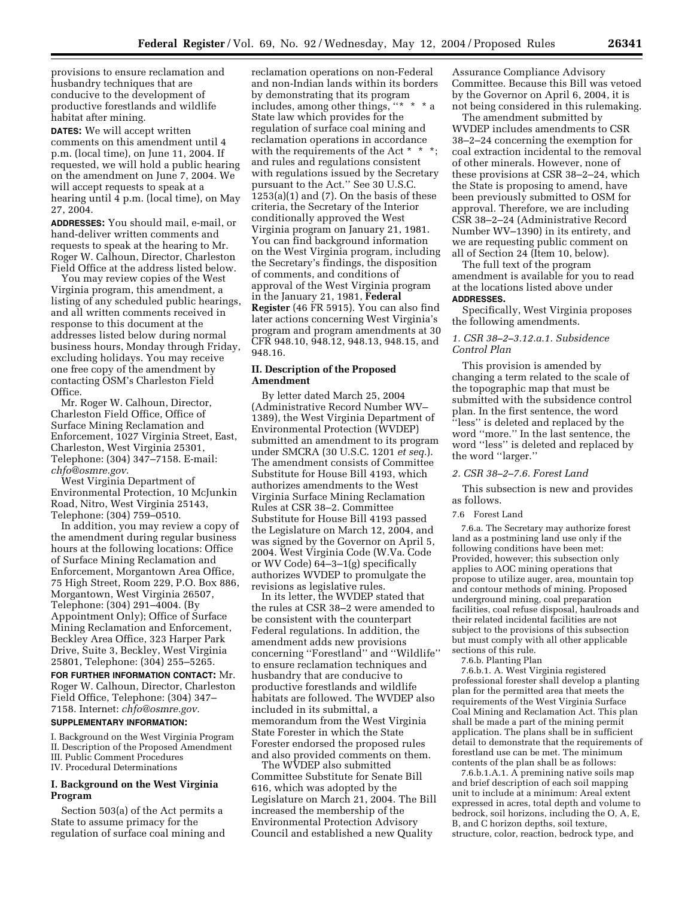provisions to ensure reclamation and husbandry techniques that are conducive to the development of productive forestlands and wildlife habitat after mining.

**DATES:** We will accept written comments on this amendment until 4 p.m. (local time), on June 11, 2004. If requested, we will hold a public hearing on the amendment on June 7, 2004. We will accept requests to speak at a hearing until 4 p.m. (local time), on May 27, 2004.

**ADDRESSES:** You should mail, e-mail, or hand-deliver written comments and requests to speak at the hearing to Mr. Roger W. Calhoun, Director, Charleston Field Office at the address listed below.

You may review copies of the West Virginia program, this amendment, a listing of any scheduled public hearings, and all written comments received in response to this document at the addresses listed below during normal business hours, Monday through Friday, excluding holidays. You may receive one free copy of the amendment by contacting OSM's Charleston Field Office.

Mr. Roger W. Calhoun, Director, Charleston Field Office, Office of Surface Mining Reclamation and Enforcement, 1027 Virginia Street, East, Charleston, West Virginia 25301, Telephone: (304) 347–7158. E-mail: *chfo@osmre.gov.*

West Virginia Department of Environmental Protection, 10 McJunkin Road, Nitro, West Virginia 25143, Telephone: (304) 759–0510.

In addition, you may review a copy of the amendment during regular business hours at the following locations: Office of Surface Mining Reclamation and Enforcement, Morgantown Area Office, 75 High Street, Room 229, P.O. Box 886, Morgantown, West Virginia 26507, Telephone: (304) 291–4004. (By Appointment Only); Office of Surface Mining Reclamation and Enforcement, Beckley Area Office, 323 Harper Park Drive, Suite 3, Beckley, West Virginia 25801, Telephone: (304) 255–5265.

**FOR FURTHER INFORMATION CONTACT:** Mr. Roger W. Calhoun, Director, Charleston Field Office, Telephone: (304) 347– 7158. Internet: *chfo@osmre.gov.*

## **SUPPLEMENTARY INFORMATION:**

I. Background on the West Virginia Program II. Description of the Proposed Amendment III. Public Comment Procedures IV. Procedural Determinations

## **I. Background on the West Virginia Program**

Section 503(a) of the Act permits a State to assume primacy for the regulation of surface coal mining and reclamation operations on non-Federal and non-Indian lands within its borders by demonstrating that its program includes, among other things, "\* \* \* a State law which provides for the regulation of surface coal mining and reclamation operations in accordance with the requirements of the Act  $*$   $*$ and rules and regulations consistent with regulations issued by the Secretary pursuant to the Act.'' See 30 U.S.C. 1253(a)(1) and (7). On the basis of these criteria, the Secretary of the Interior conditionally approved the West Virginia program on January 21, 1981. You can find background information on the West Virginia program, including the Secretary's findings, the disposition of comments, and conditions of approval of the West Virginia program in the January 21, 1981, **Federal Register** (46 FR 5915). You can also find later actions concerning West Virginia's program and program amendments at 30 CFR 948.10, 948.12, 948.13, 948.15, and 948.16.

## **II. Description of the Proposed Amendment**

By letter dated March 25, 2004 (Administrative Record Number WV– 1389), the West Virginia Department of Environmental Protection (WVDEP) submitted an amendment to its program under SMCRA (30 U.S.C. 1201 *et seq.*). The amendment consists of Committee Substitute for House Bill 4193, which authorizes amendments to the West Virginia Surface Mining Reclamation Rules at CSR 38–2. Committee Substitute for House Bill 4193 passed the Legislature on March 12, 2004, and was signed by the Governor on April 5, 2004. West Virginia Code (W.Va. Code or WV Code) 64–3–1(g) specifically authorizes WVDEP to promulgate the revisions as legislative rules.

In its letter, the WVDEP stated that the rules at CSR 38–2 were amended to be consistent with the counterpart Federal regulations. In addition, the amendment adds new provisions concerning ''Forestland'' and ''Wildlife'' to ensure reclamation techniques and husbandry that are conducive to productive forestlands and wildlife habitats are followed. The WVDEP also included in its submittal, a memorandum from the West Virginia State Forester in which the State Forester endorsed the proposed rules and also provided comments on them.

The WVDEP also submitted Committee Substitute for Senate Bill 616, which was adopted by the Legislature on March 21, 2004. The Bill increased the membership of the Environmental Protection Advisory Council and established a new Quality

Assurance Compliance Advisory Committee. Because this Bill was vetoed by the Governor on April 6, 2004, it is not being considered in this rulemaking.

The amendment submitted by WVDEP includes amendments to CSR 38–2–24 concerning the exemption for coal extraction incidental to the removal of other minerals. However, none of these provisions at CSR 38–2–24, which the State is proposing to amend, have been previously submitted to OSM for approval. Therefore, we are including CSR 38–2–24 (Administrative Record Number WV–1390) in its entirety, and we are requesting public comment on all of Section 24 (Item 10, below).

The full text of the program amendment is available for you to read at the locations listed above under **ADDRESSES.**

Specifically, West Virginia proposes the following amendments.

#### *1. CSR 38–2–3.12.a.1. Subsidence Control Plan*

This provision is amended by changing a term related to the scale of the topographic map that must be submitted with the subsidence control plan. In the first sentence, the word ''less'' is deleted and replaced by the word ''more.'' In the last sentence, the word ''less'' is deleted and replaced by the word ''larger.''

## *2. CSR 38–2–7.6. Forest Land*

This subsection is new and provides as follows.

#### 7.6 Forest Land

7.6.a. The Secretary may authorize forest land as a postmining land use only if the following conditions have been met: Provided, however; this subsection only applies to AOC mining operations that propose to utilize auger, area, mountain top and contour methods of mining. Proposed underground mining, coal preparation facilities, coal refuse disposal, haulroads and their related incidental facilities are not subject to the provisions of this subsection but must comply with all other applicable sections of this rule.

7.6.b. Planting Plan

7.6.b.1. A. West Virginia registered professional forester shall develop a planting plan for the permitted area that meets the requirements of the West Virginia Surface Coal Mining and Reclamation Act. This plan shall be made a part of the mining permit application. The plans shall be in sufficient detail to demonstrate that the requirements of forestland use can be met. The minimum contents of the plan shall be as follows:

7.6.b.1.A.1. A premining native soils map and brief description of each soil mapping unit to include at a minimum: Areal extent expressed in acres, total depth and volume to bedrock, soil horizons, including the O, A, E, B, and C horizon depths, soil texture, structure, color, reaction, bedrock type, and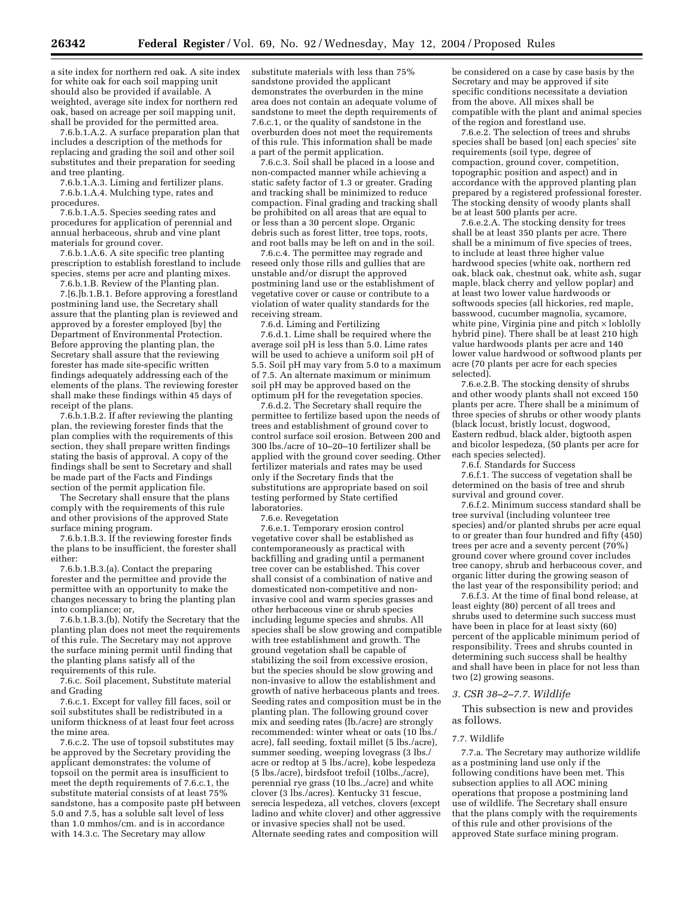a site index for northern red oak. A site index for white oak for each soil mapping unit should also be provided if available. A weighted, average site index for northern red oak, based on acreage per soil mapping unit, shall be provided for the permitted area.

7.6.b.1.A.2. A surface preparation plan that includes a description of the methods for replacing and grading the soil and other soil substitutes and their preparation for seeding and tree planting.

7.6.b.1.A.3. Liming and fertilizer plans. 7.6.b.1.A.4. Mulching type, rates and procedures.

7.6.b.1.A.5. Species seeding rates and procedures for application of perennial and annual herbaceous, shrub and vine plant materials for ground cover.

7.6.b.1.A.6. A site specific tree planting prescription to establish forestland to include species, stems per acre and planting mixes.

7.6.b.1.B. Review of the Planting plan. 7.[6.]b.1.B.1. Before approving a forestland postmining land use, the Secretary shall assure that the planting plan is reviewed and approved by a forester employed [by] the Department of Environmental Protection. Before approving the planting plan, the Secretary shall assure that the reviewing forester has made site-specific written findings adequately addressing each of the elements of the plans. The reviewing forester shall make these findings within 45 days of receipt of the plans.

7.6.b.1.B.2. If after reviewing the planting plan, the reviewing forester finds that the plan complies with the requirements of this section, they shall prepare written findings stating the basis of approval. A copy of the findings shall be sent to Secretary and shall be made part of the Facts and Findings section of the permit application file.

The Secretary shall ensure that the plans comply with the requirements of this rule and other provisions of the approved State surface mining program.

7.6.b.1.B.3. If the reviewing forester finds the plans to be insufficient, the forester shall either:

7.6.b.1.B.3.(a). Contact the preparing forester and the permittee and provide the permittee with an opportunity to make the changes necessary to bring the planting plan into compliance; or,

7.6.b.1.B.3.(b). Notify the Secretary that the planting plan does not meet the requirements of this rule. The Secretary may not approve the surface mining permit until finding that the planting plans satisfy all of the requirements of this rule.

7.6.c. Soil placement, Substitute material and Grading

7.6.c.1. Except for valley fill faces, soil or soil substitutes shall be redistributed in a uniform thickness of at least four feet across the mine area.

7.6.c.2. The use of topsoil substitutes may be approved by the Secretary providing the applicant demonstrates: the volume of topsoil on the permit area is insufficient to meet the depth requirements of 7.6.c.1, the substitute material consists of at least 75% sandstone, has a composite paste pH between 5.0 and 7.5, has a soluble salt level of less than 1.0 mmhos/cm. and is in accordance with 14.3.c. The Secretary may allow

substitute materials with less than 75% sandstone provided the applicant demonstrates the overburden in the mine area does not contain an adequate volume of sandstone to meet the depth requirements of 7.6.c.1, or the quality of sandstone in the overburden does not meet the requirements of this rule. This information shall be made a part of the permit application.

7.6.c.3. Soil shall be placed in a loose and non-compacted manner while achieving a static safety factor of 1.3 or greater. Grading and tracking shall be minimized to reduce compaction. Final grading and tracking shall be prohibited on all areas that are equal to or less than a 30 percent slope. Organic debris such as forest litter, tree tops, roots, and root balls may be left on and in the soil.

7.6.c.4. The permittee may regrade and reseed only those rills and gullies that are unstable and/or disrupt the approved postmining land use or the establishment of vegetative cover or cause or contribute to a violation of water quality standards for the receiving stream.

7.6.d. Liming and Fertilizing

7.6.d.1. Lime shall be required where the average soil pH is less than 5.0. Lime rates will be used to achieve a uniform soil pH of 5.5. Soil pH may vary from 5.0 to a maximum of 7.5. An alternate maximum or minimum soil pH may be approved based on the optimum pH for the revegetation species.

7.6.d.2. The Secretary shall require the permittee to fertilize based upon the needs of trees and establishment of ground cover to control surface soil erosion. Between 200 and 300 lbs./acre of 10–20–10 fertilizer shall be applied with the ground cover seeding. Other fertilizer materials and rates may be used only if the Secretary finds that the substitutions are appropriate based on soil testing performed by State certified laboratories.

7.6.e. Revegetation

7.6.e.1. Temporary erosion control vegetative cover shall be established as contemporaneously as practical with backfilling and grading until a permanent tree cover can be established. This cover shall consist of a combination of native and domesticated non-competitive and noninvasive cool and warm species grasses and other herbaceous vine or shrub species including legume species and shrubs. All species shall be slow growing and compatible with tree establishment and growth. The ground vegetation shall be capable of stabilizing the soil from excessive erosion, but the species should be slow growing and non-invasive to allow the establishment and growth of native herbaceous plants and trees. Seeding rates and composition must be in the planting plan. The following ground cover mix and seeding rates (lb./acre) are strongly recommended: winter wheat or oats (10 lbs./ acre), fall seeding, foxtail millet (5 lbs./acre), summer seeding, weeping lovegrass (3 lbs./ acre or redtop at 5 lbs./acre), kobe lespedeza (5 lbs./acre), birdsfoot trefoil (10lbs.,/acre), perennial rye grass (10 lbs.,/acre) and white clover (3 lbs./acres). Kentucky 31 fescue, serecia lespedeza, all vetches, clovers (except ladino and white clover) and other aggressive or invasive species shall not be used. Alternate seeding rates and composition will

be considered on a case by case basis by the Secretary and may be approved if site specific conditions necessitate a deviation from the above. All mixes shall be compatible with the plant and animal species of the region and forestland use.

7.6.e.2. The selection of trees and shrubs species shall be based [on] each species' site requirements (soil type, degree of compaction, ground cover, competition, topographic position and aspect) and in accordance with the approved planting plan prepared by a registered professional forester. The stocking density of woody plants shall be at least 500 plants per acre.

7.6.e.2.A. The stocking density for trees shall be at least 350 plants per acre. There shall be a minimum of five species of trees, to include at least three higher value hardwood species (white oak, northern red oak, black oak, chestnut oak, white ash, sugar maple, black cherry and yellow poplar) and at least two lower value hardwoods or softwoods species (all hickories, red maple, basswood, cucumber magnolia, sycamore, white pine, Virginia pine and pitch × loblolly hybrid pine). There shall be at least 210 high value hardwoods plants per acre and 140 lower value hardwood or softwood plants per acre (70 plants per acre for each species selected).

7.6.e.2.B. The stocking density of shrubs and other woody plants shall not exceed 150 plants per acre. There shall be a minimum of three species of shrubs or other woody plants (black locust, bristly locust, dogwood, Eastern redbud, black alder, bigtooth aspen and bicolor lespedeza, (50 plants per acre for each species selected).

7.6.f. Standards for Success

7.6.f.1. The success of vegetation shall be determined on the basis of tree and shrub survival and ground cover.

7.6.f.2. Minimum success standard shall be tree survival (including volunteer tree species) and/or planted shrubs per acre equal to or greater than four hundred and fifty (450) trees per acre and a seventy percent (70%) ground cover where ground cover includes tree canopy, shrub and herbaceous cover, and organic litter during the growing season of the last year of the responsibility period; and

7.6.f.3. At the time of final bond release, at least eighty (80) percent of all trees and shrubs used to determine such success must have been in place for at least sixty (60) percent of the applicable minimum period of responsibility. Trees and shrubs counted in determining such success shall be healthy and shall have been in place for not less than two (2) growing seasons.

#### *3. CSR 38–2–7.7. Wildlife*

This subsection is new and provides as follows.

#### 7.7. Wildlife

7.7.a. The Secretary may authorize wildlife as a postmining land use only if the following conditions have been met. This subsection applies to all AOC mining operations that propose a postmining land use of wildlife. The Secretary shall ensure that the plans comply with the requirements of this rule and other provisions of the approved State surface mining program.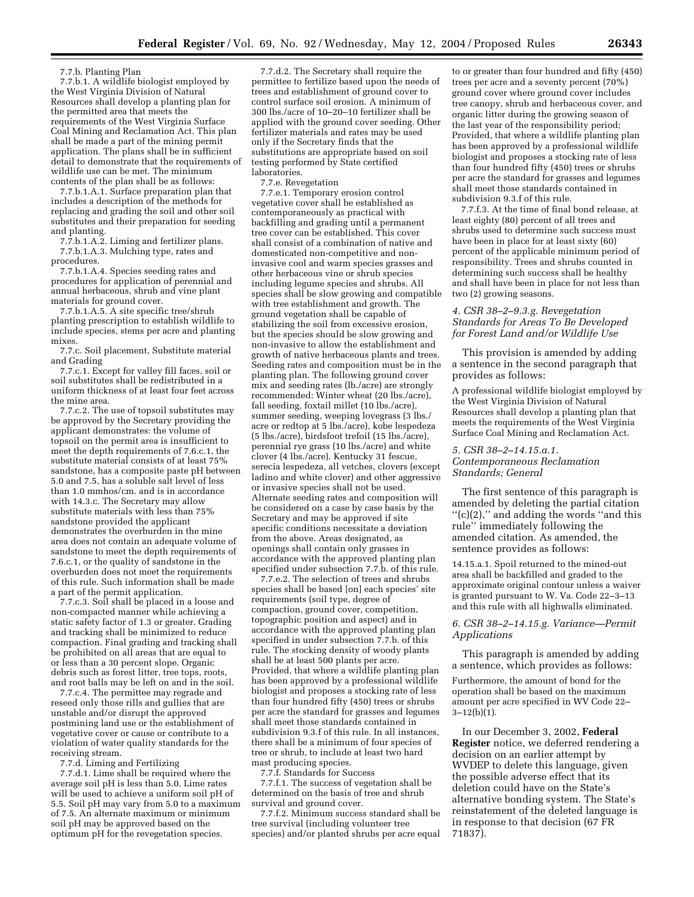#### 7.7.b. Planting Plan

7.7.b.1. A wildlife biologist employed by the West Virginia Division of Natural Resources shall develop a planting plan for the permitted area that meets the requirements of the West Virginia Surface Coal Mining and Reclamation Act. This plan shall be made a part of the mining permit application. The plans shall be in sufficient detail to demonstrate that the requirements of wildlife use can be met. The minimum contents of the plan shall be as follows:

7.7.b.1.A.1. Surface preparation plan that includes a description of the methods for replacing and grading the soil and other soil substitutes and their preparation for seeding and planting.

7.7.b.1.A.2. Liming and fertilizer plans. 7.7.b.1.A.3. Mulching type, rates and procedures.

7.7.b.1.A.4. Species seeding rates and procedures for application of perennial and annual herbaceous, shrub and vine plant materials for ground cover.

7.7.b.1.A.5. A site specific tree/shrub planting prescription to establish wildlife to include species, stems per acre and planting mixes.

7.7.c. Soil placement, Substitute material and Grading

7.7.c.1. Except for valley fill faces, soil or soil substitutes shall be redistributed in a uniform thickness of at least four feet across the mine area.

7.7.c.2. The use of topsoil substitutes may be approved by the Secretary providing the applicant demonstrates: the volume of topsoil on the permit area is insufficient to meet the depth requirements of 7.6.c.1, the substitute material consists of at least 75% sandstone, has a composite paste pH between 5.0 and 7.5, has a soluble salt level of less than 1.0 mmhos/cm. and is in accordance with 14.3.c. The Secretary may allow substitute materials with less than 75% sandstone provided the applicant demonstrates the overburden in the mine area does not contain an adequate volume of sandstone to meet the depth requirements of 7.6.c.1, or the quality of sandstone in the overburden does not meet the requirements of this rule. Such information shall be made a part of the permit application.

7.7.c.3. Soil shall be placed in a loose and non-compacted manner while achieving a static safety factor of 1.3 or greater. Grading and tracking shall be minimized to reduce compaction. Final grading and tracking shall be prohibited on all areas that are equal to or less than a 30 percent slope. Organic debris such as forest litter, tree tops, roots, and root balls may be left on and in the soil.

7.7.c.4. The permittee may regrade and reseed only those rills and gullies that are unstable and/or disrupt the approved postmining land use or the establishment of vegetative cover or cause or contribute to a violation of water quality standards for the receiving stream.

7.7.d. Liming and Fertilizing

7.7.d.1. Lime shall be required where the average soil pH is less than 5.0. Lime rates will be used to achieve a uniform soil pH of 5.5. Soil pH may vary from 5.0 to a maximum of 7.5. An alternate maximum or minimum soil pH may be approved based on the optimum pH for the revegetation species.

7.7.d.2. The Secretary shall require the permittee to fertilize based upon the needs of trees and establishment of ground cover to control surface soil erosion. A minimum of 300 lbs./acre of 10–20–10 fertilizer shall be applied with the ground cover seeding. Other fertilizer materials and rates may be used only if the Secretary finds that the substitutions are appropriate based on soil testing performed by State certified laboratories.

7.7.e. Revegetation

7.7.e.1. Temporary erosion control vegetative cover shall be established as contemporaneously as practical with backfilling and grading until a permanent tree cover can be established. This cover shall consist of a combination of native and domesticated non-competitive and noninvasive cool and warm species grasses and other herbaceous vine or shrub species including legume species and shrubs. All species shall be slow growing and compatible with tree establishment and growth. The ground vegetation shall be capable of stabilizing the soil from excessive erosion, but the species should be slow growing and non-invasive to allow the establishment and growth of native herbaceous plants and trees. Seeding rates and composition must be in the planting plan. The following ground cover mix and seeding rates (lb./acre) are strongly recommended: Winter wheat (20 lbs./acre), fall seeding, foxtail millet (10 lbs./acre), summer seeding, weeping lovegrass (3 lbs./ acre or redtop at 5 lbs./acre), kobe lespedeza (5 lbs./acre), birdsfoot trefoil (15 lbs./acre), perennial rye grass (10 lbs./acre) and white clover (4 lbs./acre). Kentucky 31 fescue, serecia lespedeza, all vetches, clovers (except ladino and white clover) and other aggressive or invasive species shall not be used. Alternate seeding rates and composition will be considered on a case by case basis by the Secretary and may be approved if site specific conditions necessitate a deviation from the above. Areas designated, as openings shall contain only grasses in accordance with the approved planting plan specified under subsection 7.7.b. of this rule.

7.7.e.2. The selection of trees and shrubs species shall be based [on] each species' site requirements (soil type, degree of compaction, ground cover, competition, topographic position and aspect) and in accordance with the approved planting plan specified in under subsection 7.7.b. of this rule. The stocking density of woody plants shall be at least 500 plants per acre. Provided, that where a wildlife planting plan has been approved by a professional wildlife biologist and proposes a stocking rate of less than four hundred fifty (450) trees or shrubs per acre the standard for grasses and legumes shall meet those standards contained in subdivision 9.3.f of this rule. In all instances, there shall be a minimum of four species of tree or shrub, to include at least two hard mast producing species.

7.7.f. Standards for Success

7.7.f.1. The success of vegetation shall be determined on the basis of tree and shrub survival and ground cover.

7.7.f.2. Minimum success standard shall be tree survival (including volunteer tree species) and/or planted shrubs per acre equal

to or greater than four hundred and fifty (450) trees per acre and a seventy percent (70%) ground cover where ground cover includes tree canopy, shrub and herbaceous cover, and organic litter during the growing season of the last year of the responsibility period; Provided, that where a wildlife planting plan has been approved by a professional wildlife biologist and proposes a stocking rate of less than four hundred fifty (450) trees or shrubs per acre the standard for grasses and legumes shall meet those standards contained in subdivision 9.3.f of this rule.

7.7.f.3. At the time of final bond release, at least eighty (80) percent of all trees and shrubs used to determine such success must have been in place for at least sixty (60) percent of the applicable minimum period of responsibility. Trees and shrubs counted in determining such success shall be healthy and shall have been in place for not less than two (2) growing seasons.

## *4. CSR 38–2–9.3.g. Revegetation Standards for Areas To Be Developed for Forest Land and/or Wildlife Use*

This provision is amended by adding a sentence in the second paragraph that provides as follows:

A professional wildlife biologist employed by the West Virginia Division of Natural Resources shall develop a planting plan that meets the requirements of the West Virginia Surface Coal Mining and Reclamation Act.

#### *5. CSR 38–2–14.15.a.1.*

*Contemporaneous Reclamation Standards; General*

The first sentence of this paragraph is amended by deleting the partial citation  $''(c)(2)$ ," and adding the words "and this rule'' immediately following the amended citation. As amended, the sentence provides as follows:

14.15.a.1. Spoil returned to the mined-out area shall be backfilled and graded to the approximate original contour unless a waiver is granted pursuant to W. Va. Code 22–3–13 and this rule with all highwalls eliminated.

#### *6. CSR 38–2–14.15.g. Variance—Permit Applications*

This paragraph is amended by adding a sentence, which provides as follows:

Furthermore, the amount of bond for the operation shall be based on the maximum amount per acre specified in WV Code 22–  $3-12(b)(1)$ .

In our December 3, 2002, **Federal Register** notice, we deferred rendering a decision on an earlier attempt by WVDEP to delete this language, given the possible adverse effect that its deletion could have on the State's alternative bonding system. The State's reinstatement of the deleted language is in response to that decision (67 FR 71837).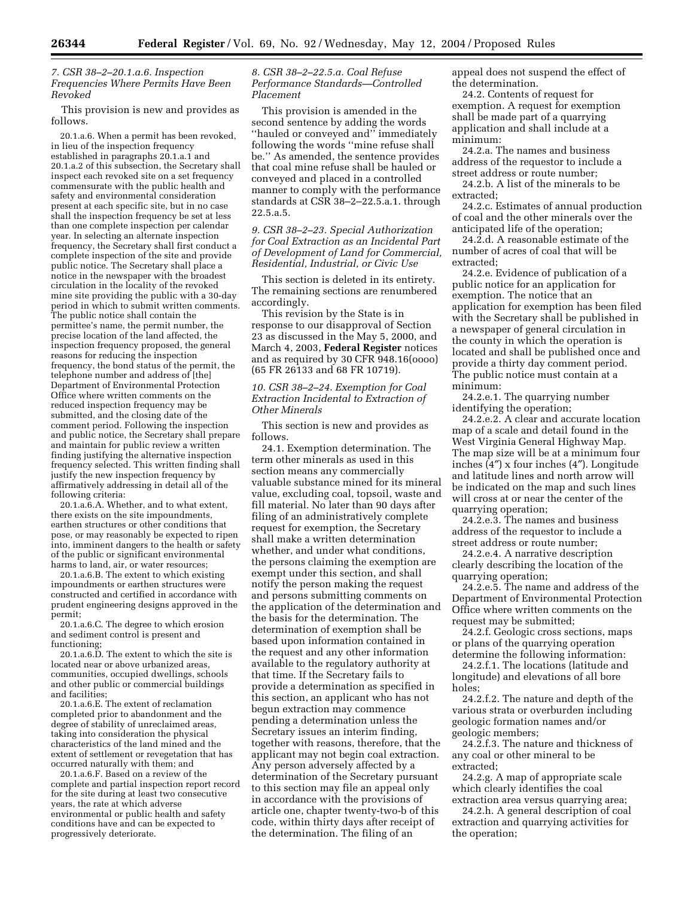## *7. CSR 38–2–20.1.a.6. Inspection Frequencies Where Permits Have Been Revoked*

This provision is new and provides as follows.

20.1.a.6. When a permit has been revoked, in lieu of the inspection frequency established in paragraphs  $20.1.a.1$  and 20.1.a.2 of this subsection, the Secretary shall inspect each revoked site on a set frequency commensurate with the public health and safety and environmental consideration present at each specific site, but in no case shall the inspection frequency be set at less than one complete inspection per calendar year. In selecting an alternate inspection frequency, the Secretary shall first conduct a complete inspection of the site and provide public notice. The Secretary shall place a notice in the newspaper with the broadest circulation in the locality of the revoked mine site providing the public with a 30-day period in which to submit written comments. The public notice shall contain the permittee's name, the permit number, the precise location of the land affected, the inspection frequency proposed, the general reasons for reducing the inspection frequency, the bond status of the permit, the telephone number and address of [the] Department of Environmental Protection Office where written comments on the reduced inspection frequency may be submitted, and the closing date of the comment period. Following the inspection and public notice, the Secretary shall prepare and maintain for public review a written finding justifying the alternative inspection frequency selected. This written finding shall justify the new inspection frequency by affirmatively addressing in detail all of the following criteria:

20.1.a.6.A. Whether, and to what extent, there exists on the site impoundments, earthen structures or other conditions that pose, or may reasonably be expected to ripen into, imminent dangers to the health or safety of the public or significant environmental harms to land, air, or water resources;

20.1.a.6.B. The extent to which existing impoundments or earthen structures were constructed and certified in accordance with prudent engineering designs approved in the permit;

20.1.a.6.C. The degree to which erosion and sediment control is present and functioning;

20.1.a.6.D. The extent to which the site is located near or above urbanized areas, communities, occupied dwellings, schools and other public or commercial buildings and facilities;

20.1.a.6.E. The extent of reclamation completed prior to abandonment and the degree of stability of unreclaimed areas, taking into consideration the physical characteristics of the land mined and the extent of settlement or revegetation that has occurred naturally with them; and

20.1.a.6.F. Based on a review of the complete and partial inspection report record for the site during at least two consecutive years, the rate at which adverse environmental or public health and safety conditions have and can be expected to progressively deteriorate.

## *8. CSR 38–2–22.5.a. Coal Refuse Performance Standards—Controlled Placement*

This provision is amended in the second sentence by adding the words ''hauled or conveyed and'' immediately following the words ''mine refuse shall be.'' As amended, the sentence provides that coal mine refuse shall be hauled or conveyed and placed in a controlled manner to comply with the performance standards at CSR 38–2–22.5.a.1. through 22.5.a.5.

*9. CSR 38–2–23. Special Authorization for Coal Extraction as an Incidental Part of Development of Land for Commercial, Residential, Industrial, or Civic Use* 

This section is deleted in its entirety. The remaining sections are renumbered accordingly.

This revision by the State is in response to our disapproval of Section 23 as discussed in the May 5, 2000, and March 4, 2003, **Federal Register** notices and as required by 30 CFR 948.16(oooo) (65 FR 26133 and 68 FR 10719).

## *10. CSR 38–2–24. Exemption for Coal Extraction Incidental to Extraction of Other Minerals*

This section is new and provides as follows.

24.1. Exemption determination. The term other minerals as used in this section means any commercially valuable substance mined for its mineral value, excluding coal, topsoil, waste and fill material. No later than 90 days after filing of an administratively complete request for exemption, the Secretary shall make a written determination whether, and under what conditions, the persons claiming the exemption are exempt under this section, and shall notify the person making the request and persons submitting comments on the application of the determination and the basis for the determination. The determination of exemption shall be based upon information contained in the request and any other information available to the regulatory authority at that time. If the Secretary fails to provide a determination as specified in this section, an applicant who has not begun extraction may commence pending a determination unless the Secretary issues an interim finding, together with reasons, therefore, that the applicant may not begin coal extraction. Any person adversely affected by a determination of the Secretary pursuant to this section may file an appeal only in accordance with the provisions of article one, chapter twenty-two-b of this code, within thirty days after receipt of the determination. The filing of an

appeal does not suspend the effect of the determination.

24.2. Contents of request for exemption. A request for exemption shall be made part of a quarrying application and shall include at a minimum:

24.2.a. The names and business address of the requestor to include a street address or route number;

24.2.b. A list of the minerals to be extracted;

24.2.c. Estimates of annual production of coal and the other minerals over the anticipated life of the operation;

24.2.d. A reasonable estimate of the number of acres of coal that will be extracted;

24.2.e. Evidence of publication of a public notice for an application for exemption. The notice that an application for exemption has been filed with the Secretary shall be published in a newspaper of general circulation in the county in which the operation is located and shall be published once and provide a thirty day comment period. The public notice must contain at a minimum:

24.2.e.1. The quarrying number identifying the operation;

24.2.e.2. A clear and accurate location map of a scale and detail found in the West Virginia General Highway Map. The map size will be at a minimum four inches (4″) x four inches (4″). Longitude and latitude lines and north arrow will be indicated on the map and such lines will cross at or near the center of the quarrying operation;

24.2.e.3. The names and business address of the requestor to include a street address or route number;

24.2.e.4. A narrative description clearly describing the location of the quarrying operation;

24.2.e.5. The name and address of the Department of Environmental Protection Office where written comments on the request may be submitted;

24.2.f. Geologic cross sections, maps or plans of the quarrying operation determine the following information:

24.2.f.1. The locations (latitude and longitude) and elevations of all bore holes;

24.2.f.2. The nature and depth of the various strata or overburden including geologic formation names and/or geologic members;

24.2.f.3. The nature and thickness of any coal or other mineral to be extracted;

24.2.g. A map of appropriate scale which clearly identifies the coal extraction area versus quarrying area;

24.2.h. A general description of coal extraction and quarrying activities for the operation;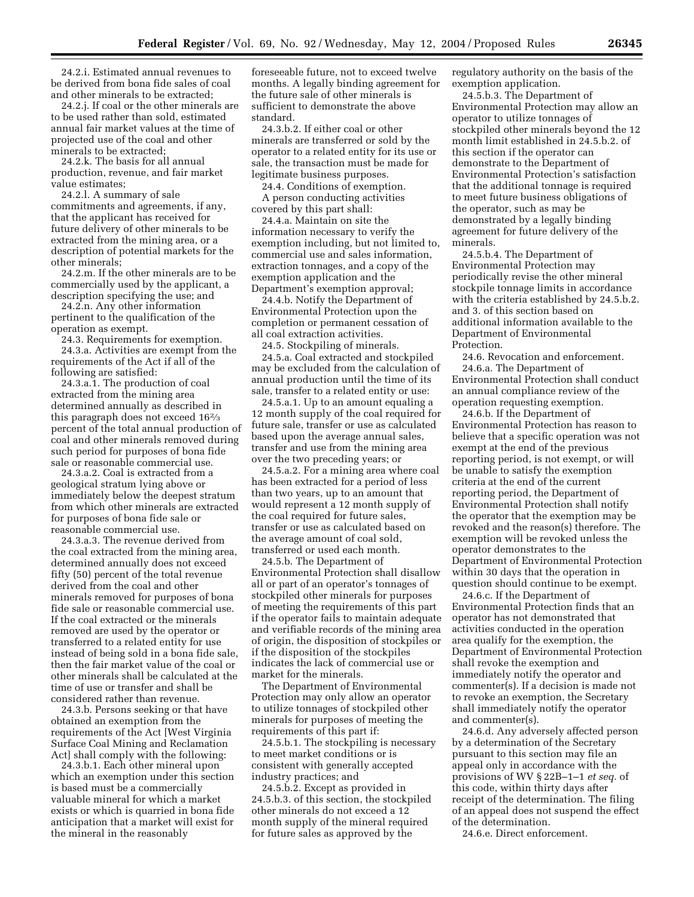24.2.i. Estimated annual revenues to be derived from bona fide sales of coal and other minerals to be extracted;

24.2.j. If coal or the other minerals are to be used rather than sold, estimated annual fair market values at the time of projected use of the coal and other minerals to be extracted;

24.2.k. The basis for all annual production, revenue, and fair market value estimates;

24.2.l. A summary of sale commitments and agreements, if any, that the applicant has received for future delivery of other minerals to be extracted from the mining area, or a description of potential markets for the other minerals;

24.2.m. If the other minerals are to be commercially used by the applicant, a description specifying the use; and

24.2.n. Any other information pertinent to the qualification of the operation as exempt.

24.3. Requirements for exemption. 24.3.a. Activities are exempt from the requirements of the Act if all of the following are satisfied:

24.3.a.1. The production of coal extracted from the mining area determined annually as described in this paragraph does not exceed 162⁄3 percent of the total annual production of coal and other minerals removed during such period for purposes of bona fide sale or reasonable commercial use.

24.3.a.2. Coal is extracted from a geological stratum lying above or immediately below the deepest stratum from which other minerals are extracted for purposes of bona fide sale or reasonable commercial use.

24.3.a.3. The revenue derived from the coal extracted from the mining area, determined annually does not exceed fifty (50) percent of the total revenue derived from the coal and other minerals removed for purposes of bona fide sale or reasonable commercial use. If the coal extracted or the minerals removed are used by the operator or transferred to a related entity for use instead of being sold in a bona fide sale, then the fair market value of the coal or other minerals shall be calculated at the time of use or transfer and shall be considered rather than revenue.

24.3.b. Persons seeking or that have obtained an exemption from the requirements of the Act [West Virginia Surface Coal Mining and Reclamation Act] shall comply with the following:

24.3.b.1. Each other mineral upon which an exemption under this section is based must be a commercially valuable mineral for which a market exists or which is quarried in bona fide anticipation that a market will exist for the mineral in the reasonably

foreseeable future, not to exceed twelve months. A legally binding agreement for the future sale of other minerals is sufficient to demonstrate the above standard.

24.3.b.2. If either coal or other minerals are transferred or sold by the operator to a related entity for its use or sale, the transaction must be made for legitimate business purposes.

24.4. Conditions of exemption. A person conducting activities covered by this part shall:

24.4.a. Maintain on site the information necessary to verify the exemption including, but not limited to, commercial use and sales information, extraction tonnages, and a copy of the exemption application and the Department's exemption approval;

24.4.b. Notify the Department of Environmental Protection upon the completion or permanent cessation of all coal extraction activities.

24.5. Stockpiling of minerals. 24.5.a. Coal extracted and stockpiled

may be excluded from the calculation of annual production until the time of its sale, transfer to a related entity or use:

24.5.a.1. Up to an amount equaling a 12 month supply of the coal required for future sale, transfer or use as calculated based upon the average annual sales, transfer and use from the mining area over the two preceding years; or

24.5.a.2. For a mining area where coal has been extracted for a period of less than two years, up to an amount that would represent a 12 month supply of the coal required for future sales, transfer or use as calculated based on the average amount of coal sold, transferred or used each month.

24.5.b. The Department of Environmental Protection shall disallow all or part of an operator's tonnages of stockpiled other minerals for purposes of meeting the requirements of this part if the operator fails to maintain adequate and verifiable records of the mining area of origin, the disposition of stockpiles or if the disposition of the stockpiles indicates the lack of commercial use or market for the minerals.

The Department of Environmental Protection may only allow an operator to utilize tonnages of stockpiled other minerals for purposes of meeting the requirements of this part if:

24.5.b.1. The stockpiling is necessary to meet market conditions or is consistent with generally accepted industry practices; and

24.5.b.2. Except as provided in 24.5.b.3. of this section, the stockpiled other minerals do not exceed a 12 month supply of the mineral required for future sales as approved by the

regulatory authority on the basis of the exemption application.

24.5.b.3. The Department of Environmental Protection may allow an operator to utilize tonnages of stockpiled other minerals beyond the 12 month limit established in 24.5.b.2. of this section if the operator can demonstrate to the Department of Environmental Protection's satisfaction that the additional tonnage is required to meet future business obligations of the operator, such as may be demonstrated by a legally binding agreement for future delivery of the minerals.

24.5.b.4. The Department of Environmental Protection may periodically revise the other mineral stockpile tonnage limits in accordance with the criteria established by 24.5.b.2. and 3. of this section based on additional information available to the Department of Environmental Protection.

24.6. Revocation and enforcement. 24.6.a. The Department of Environmental Protection shall conduct an annual compliance review of the operation requesting exemption.

24.6.b. If the Department of Environmental Protection has reason to believe that a specific operation was not exempt at the end of the previous reporting period, is not exempt, or will be unable to satisfy the exemption criteria at the end of the current reporting period, the Department of Environmental Protection shall notify the operator that the exemption may be revoked and the reason(s) therefore. The exemption will be revoked unless the operator demonstrates to the Department of Environmental Protection within 30 days that the operation in question should continue to be exempt.

24.6.c. If the Department of Environmental Protection finds that an operator has not demonstrated that activities conducted in the operation area qualify for the exemption, the Department of Environmental Protection shall revoke the exemption and immediately notify the operator and commenter(s). If a decision is made not to revoke an exemption, the Secretary shall immediately notify the operator and commenter(s).

24.6.d. Any adversely affected person by a determination of the Secretary pursuant to this section may file an appeal only in accordance with the provisions of WV § 22B–1–1 *et seq.* of this code, within thirty days after receipt of the determination. The filing of an appeal does not suspend the effect of the determination.

24.6.e. Direct enforcement.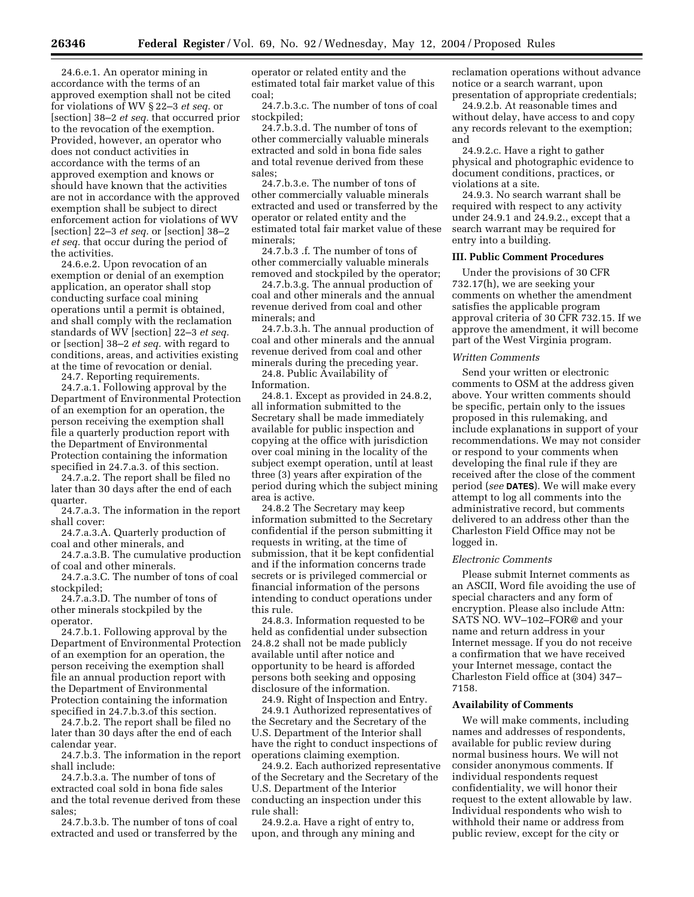24.6.e.1. An operator mining in accordance with the terms of an approved exemption shall not be cited for violations of WV § 22–3 *et seq.* or [section] 38–2 *et seq.* that occurred prior to the revocation of the exemption. Provided, however, an operator who does not conduct activities in accordance with the terms of an approved exemption and knows or should have known that the activities are not in accordance with the approved exemption shall be subject to direct enforcement action for violations of WV [section] 22–3 *et seq.* or [section] 38–2 *et seq.* that occur during the period of the activities.

24.6.e.2. Upon revocation of an exemption or denial of an exemption application, an operator shall stop conducting surface coal mining operations until a permit is obtained, and shall comply with the reclamation standards of WV [section] 22–3 *et seq.* or [section] 38–2 *et seq.* with regard to conditions, areas, and activities existing at the time of revocation or denial.

24.7. Reporting requirements.

24.7.a.1. Following approval by the Department of Environmental Protection of an exemption for an operation, the person receiving the exemption shall file a quarterly production report with the Department of Environmental Protection containing the information specified in 24.7.a.3. of this section.

24.7.a.2. The report shall be filed no later than 30 days after the end of each quarter.

24.7.a.3. The information in the report shall cover:

24.7.a.3.A. Quarterly production of coal and other minerals, and

24.7.a.3.B. The cumulative production of coal and other minerals.

24.7.a.3.C. The number of tons of coal stockpiled;

24.7.a.3.D. The number of tons of other minerals stockpiled by the operator.

24.7.b.1. Following approval by the Department of Environmental Protection of an exemption for an operation, the person receiving the exemption shall file an annual production report with the Department of Environmental Protection containing the information specified in 24.7.b.3.of this section.

24.7.b.2. The report shall be filed no later than 30 days after the end of each calendar year.

24.7.b.3. The information in the report shall include:

24.7.b.3.a. The number of tons of extracted coal sold in bona fide sales and the total revenue derived from these sales;

24.7.b.3.b. The number of tons of coal extracted and used or transferred by the operator or related entity and the estimated total fair market value of this coal;

24.7.b.3.c. The number of tons of coal stockpiled;

24.7.b.3.d. The number of tons of other commercially valuable minerals extracted and sold in bona fide sales and total revenue derived from these sales;

24.7.b.3.e. The number of tons of other commercially valuable minerals extracted and used or transferred by the operator or related entity and the estimated total fair market value of these minerals;

24.7.b.3 .f. The number of tons of other commercially valuable minerals removed and stockpiled by the operator;

24.7.b.3.g. The annual production of coal and other minerals and the annual revenue derived from coal and other minerals; and

24.7.b.3.h. The annual production of coal and other minerals and the annual revenue derived from coal and other minerals during the preceding year.

24.8. Public Availability of Information.

24.8.1. Except as provided in 24.8.2, all information submitted to the Secretary shall be made immediately available for public inspection and copying at the office with jurisdiction over coal mining in the locality of the subject exempt operation, until at least three (3) years after expiration of the period during which the subject mining area is active.

24.8.2 The Secretary may keep information submitted to the Secretary confidential if the person submitting it requests in writing, at the time of submission, that it be kept confidential and if the information concerns trade secrets or is privileged commercial or financial information of the persons intending to conduct operations under this rule.

24.8.3. Information requested to be held as confidential under subsection 24.8.2 shall not be made publicly available until after notice and opportunity to be heard is afforded persons both seeking and opposing disclosure of the information.

24.9. Right of Inspection and Entry. 24.9.1 Authorized representatives of the Secretary and the Secretary of the U.S. Department of the Interior shall have the right to conduct inspections of operations claiming exemption.

24.9.2. Each authorized representative of the Secretary and the Secretary of the U.S. Department of the Interior conducting an inspection under this rule shall:

24.9.2.a. Have a right of entry to, upon, and through any mining and reclamation operations without advance notice or a search warrant, upon presentation of appropriate credentials;

24.9.2.b. At reasonable times and without delay, have access to and copy any records relevant to the exemption; and

24.9.2.c. Have a right to gather physical and photographic evidence to document conditions, practices, or violations at a site.

24.9.3. No search warrant shall be required with respect to any activity under 24.9.1 and 24.9.2., except that a search warrant may be required for entry into a building.

## **III. Public Comment Procedures**

Under the provisions of 30 CFR 732.17(h), we are seeking your comments on whether the amendment satisfies the applicable program approval criteria of 30 CFR 732.15. If we approve the amendment, it will become part of the West Virginia program.

#### *Written Comments*

Send your written or electronic comments to OSM at the address given above. Your written comments should be specific, pertain only to the issues proposed in this rulemaking, and include explanations in support of your recommendations. We may not consider or respond to your comments when developing the final rule if they are received after the close of the comment period (*see* **DATES**). We will make every attempt to log all comments into the administrative record, but comments delivered to an address other than the Charleston Field Office may not be logged in.

#### *Electronic Comments*

Please submit Internet comments as an ASCII, Word file avoiding the use of special characters and any form of encryption. Please also include Attn: SATS NO. WV–102–FOR@ and your name and return address in your Internet message. If you do not receive a confirmation that we have received your Internet message, contact the Charleston Field office at (304) 347– 7158.

#### **Availability of Comments**

We will make comments, including names and addresses of respondents, available for public review during normal business hours. We will not consider anonymous comments. If individual respondents request confidentiality, we will honor their request to the extent allowable by law. Individual respondents who wish to withhold their name or address from public review, except for the city or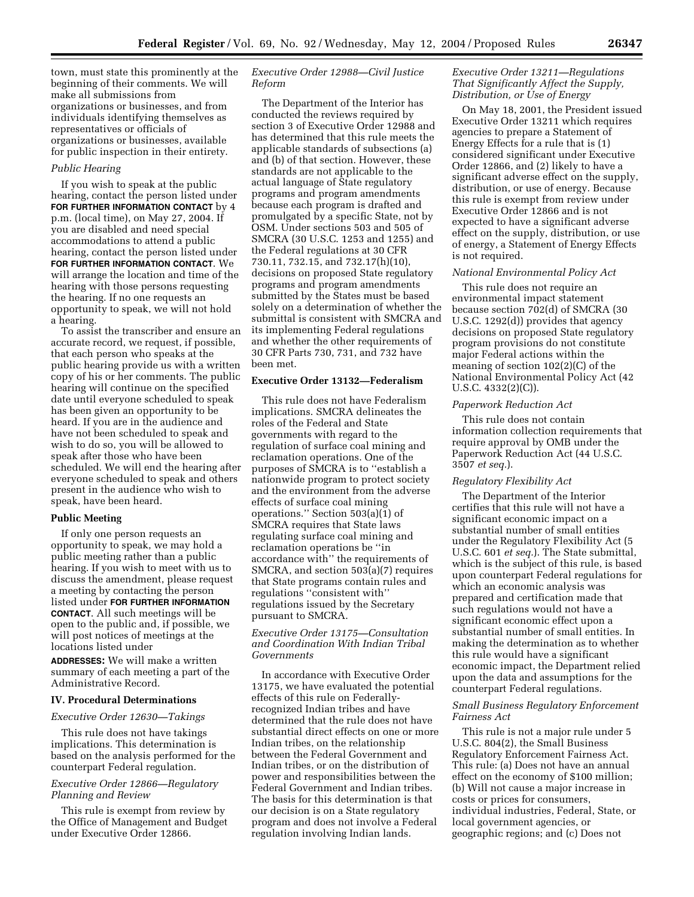town, must state this prominently at the beginning of their comments. We will make all submissions from organizations or businesses, and from individuals identifying themselves as representatives or officials of organizations or businesses, available for public inspection in their entirety.

#### *Public Hearing*

If you wish to speak at the public hearing, contact the person listed under **FOR FURTHER INFORMATION CONTACT** by 4 p.m. (local time), on May 27, 2004. If you are disabled and need special accommodations to attend a public hearing, contact the person listed under **FOR FURTHER INFORMATION CONTACT**. We will arrange the location and time of the hearing with those persons requesting the hearing. If no one requests an opportunity to speak, we will not hold a hearing.

To assist the transcriber and ensure an accurate record, we request, if possible, that each person who speaks at the public hearing provide us with a written copy of his or her comments. The public hearing will continue on the specified date until everyone scheduled to speak has been given an opportunity to be heard. If you are in the audience and have not been scheduled to speak and wish to do so, you will be allowed to speak after those who have been scheduled. We will end the hearing after everyone scheduled to speak and others present in the audience who wish to speak, have been heard.

#### **Public Meeting**

If only one person requests an opportunity to speak, we may hold a public meeting rather than a public hearing. If you wish to meet with us to discuss the amendment, please request a meeting by contacting the person listed under **FOR FURTHER INFORMATION CONTACT**. All such meetings will be open to the public and, if possible, we will post notices of meetings at the locations listed under

**ADDRESSES:** We will make a written summary of each meeting a part of the Administrative Record.

#### **IV. Procedural Determinations**

#### *Executive Order 12630—Takings*

This rule does not have takings implications. This determination is based on the analysis performed for the counterpart Federal regulation.

## *Executive Order 12866—Regulatory Planning and Review*

This rule is exempt from review by the Office of Management and Budget under Executive Order 12866.

## *Executive Order 12988—Civil Justice Reform*

The Department of the Interior has conducted the reviews required by section 3 of Executive Order 12988 and has determined that this rule meets the applicable standards of subsections (a) and (b) of that section. However, these standards are not applicable to the actual language of State regulatory programs and program amendments because each program is drafted and promulgated by a specific State, not by OSM. Under sections 503 and 505 of SMCRA (30 U.S.C. 1253 and 1255) and the Federal regulations at 30 CFR 730.11, 732.15, and 732.17(h)(10), decisions on proposed State regulatory programs and program amendments submitted by the States must be based solely on a determination of whether the submittal is consistent with SMCRA and its implementing Federal regulations and whether the other requirements of 30 CFR Parts 730, 731, and 732 have been met.

## **Executive Order 13132—Federalism**

This rule does not have Federalism implications. SMCRA delineates the roles of the Federal and State governments with regard to the regulation of surface coal mining and reclamation operations. One of the purposes of SMCRA is to ''establish a nationwide program to protect society and the environment from the adverse effects of surface coal mining operations.'' Section 503(a)(1) of SMCRA requires that State laws regulating surface coal mining and reclamation operations be ''in accordance with'' the requirements of SMCRA, and section 503(a)(7) requires that State programs contain rules and regulations ''consistent with'' regulations issued by the Secretary pursuant to SMCRA.

## *Executive Order 13175—Consultation and Coordination With Indian Tribal Governments*

In accordance with Executive Order 13175, we have evaluated the potential effects of this rule on Federallyrecognized Indian tribes and have determined that the rule does not have substantial direct effects on one or more Indian tribes, on the relationship between the Federal Government and Indian tribes, or on the distribution of power and responsibilities between the Federal Government and Indian tribes. The basis for this determination is that our decision is on a State regulatory program and does not involve a Federal regulation involving Indian lands.

## *Executive Order 13211—Regulations That Significantly Affect the Supply, Distribution, or Use of Energy*

On May 18, 2001, the President issued Executive Order 13211 which requires agencies to prepare a Statement of Energy Effects for a rule that is (1) considered significant under Executive Order 12866, and (2) likely to have a significant adverse effect on the supply, distribution, or use of energy. Because this rule is exempt from review under Executive Order 12866 and is not expected to have a significant adverse effect on the supply, distribution, or use of energy, a Statement of Energy Effects is not required.

#### *National Environmental Policy Act*

This rule does not require an environmental impact statement because section 702(d) of SMCRA (30 U.S.C. 1292(d)) provides that agency decisions on proposed State regulatory program provisions do not constitute major Federal actions within the meaning of section 102(2)(C) of the National Environmental Policy Act (42 U.S.C. 4332(2)(C)).

#### *Paperwork Reduction Act*

This rule does not contain information collection requirements that require approval by OMB under the Paperwork Reduction Act (44 U.S.C. 3507 *et seq.*).

#### *Regulatory Flexibility Act*

The Department of the Interior certifies that this rule will not have a significant economic impact on a substantial number of small entities under the Regulatory Flexibility Act (5 U.S.C. 601 *et seq.*). The State submittal, which is the subject of this rule, is based upon counterpart Federal regulations for which an economic analysis was prepared and certification made that such regulations would not have a significant economic effect upon a substantial number of small entities. In making the determination as to whether this rule would have a significant economic impact, the Department relied upon the data and assumptions for the counterpart Federal regulations.

### *Small Business Regulatory Enforcement Fairness Act*

This rule is not a major rule under 5 U.S.C. 804(2), the Small Business Regulatory Enforcement Fairness Act. This rule: (a) Does not have an annual effect on the economy of \$100 million; (b) Will not cause a major increase in costs or prices for consumers, individual industries, Federal, State, or local government agencies, or geographic regions; and (c) Does not